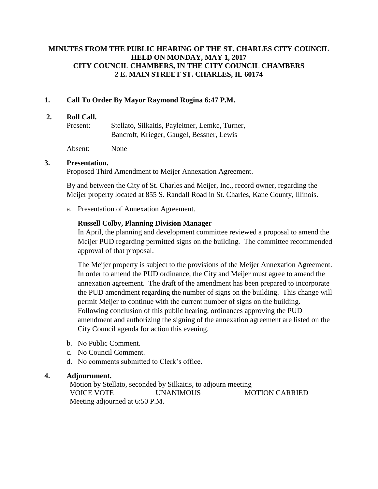# **MINUTES FROM THE PUBLIC HEARING OF THE ST. CHARLES CITY COUNCIL HELD ON MONDAY, MAY 1, 2017 CITY COUNCIL CHAMBERS, IN THE CITY COUNCIL CHAMBERS 2 E. MAIN STREET ST. CHARLES, IL 60174**

## **1. Call To Order By Mayor Raymond Rogina 6:47 P.M.**

#### **2. Roll Call.**

Present: Stellato, Silkaitis, Payleitner, Lemke, Turner, Bancroft, Krieger, Gaugel, Bessner, Lewis

Absent: None

### **3. Presentation.**

Proposed Third Amendment to Meijer Annexation Agreement.

By and between the City of St. Charles and Meijer, Inc., record owner, regarding the Meijer property located at 855 S. Randall Road in St. Charles, Kane County, Illinois.

a. Presentation of Annexation Agreement.

## **Russell Colby, Planning Division Manager**

In April, the planning and development committee reviewed a proposal to amend the Meijer PUD regarding permitted signs on the building. The committee recommended approval of that proposal.

The Meijer property is subject to the provisions of the Meijer Annexation Agreement. In order to amend the PUD ordinance, the City and Meijer must agree to amend the annexation agreement. The draft of the amendment has been prepared to incorporate the PUD amendment regarding the number of signs on the building. This change will permit Meijer to continue with the current number of signs on the building. Following conclusion of this public hearing, ordinances approving the PUD amendment and authorizing the signing of the annexation agreement are listed on the City Council agenda for action this evening.

- b. No Public Comment.
- c. No Council Comment.
- d. No comments submitted to Clerk's office.

### **4. Adjournment.**

Motion by Stellato, seconded by Silkaitis, to adjourn meeting VOICE VOTE UNANIMOUS MOTION CARRIED Meeting adjourned at 6:50 P.M.